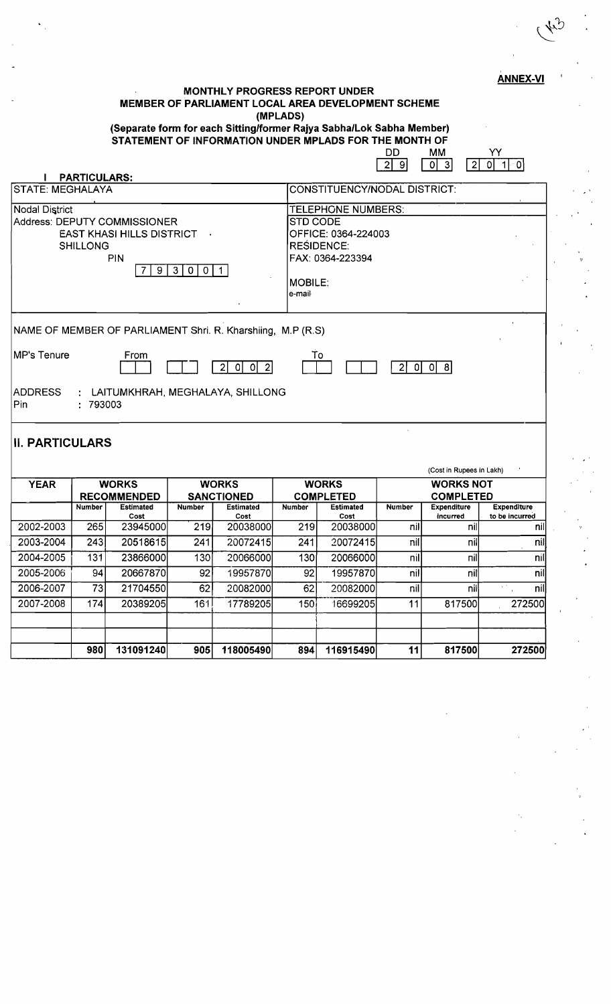**MONTHLY PROGRESS REPORT UNDER MEMBER OF PARLIAMENT LOCAL AREA DEVELOPMENT SCHEME (MPLADS) (Separate form for each Sitting/former Rajya Sabha/Lok Sabha Member)** 

**STATEMENT OF INFORMATION UNDER MPLADS FOR THE MONTH OF** 

|                                                             | YY<br>DD.<br>MM<br>$\overline{2}$<br>0l<br>$\mathbf{3}$<br>$\overline{2}$<br>9<br>01<br>1I O |
|-------------------------------------------------------------|----------------------------------------------------------------------------------------------|
| <b>PARTICULARS:</b>                                         |                                                                                              |
| STATE: MEGHALAYA                                            | <b>CONSTITUENCY/NODAL DISTRICT:</b>                                                          |
| <b>Nodal District</b>                                       | <b>TELEPHONE NUMBERS:</b>                                                                    |
| Address: DEPUTY COMMISSIONER                                | STD CODE                                                                                     |
| <b>EAST KHASI HILLS DISTRICT</b>                            | OFFICE: 0364-224003                                                                          |
| <b>SHILLONG</b>                                             | <b>RESIDENCE:</b>                                                                            |
| <b>PIN</b>                                                  | FAX: 0364-223394                                                                             |
| 3 <sup>1</sup><br>9<br>0<br>$\overline{0}$                  |                                                                                              |
|                                                             | <b>MOBILE:</b>                                                                               |
|                                                             | e-mail                                                                                       |
|                                                             |                                                                                              |
| NAME OF MEMBER OF PARLIAMENT Shri. R. Kharshiing, M.P (R.S) |                                                                                              |
| <b>MP's Tenure</b>                                          |                                                                                              |
| From<br>$\overline{2}$<br>-01<br>ΩI                         | To<br> 0 <br>- 이 8 <br>$\overline{2}$                                                        |
| : LAITUMKHRAH, MEGHALAYA, SHILLONG<br>ADDRESS               |                                                                                              |
| Pin<br>: 793003                                             |                                                                                              |
|                                                             |                                                                                              |
| <b>II. PARTICULARS</b>                                      |                                                                                              |

|                             |                    |                  |                   |                  |                  |                  |                  | (Cost in Rupees in Lakh) |                           |
|-----------------------------|--------------------|------------------|-------------------|------------------|------------------|------------------|------------------|--------------------------|---------------------------|
| <b>YEAR</b><br><b>WORKS</b> |                    | <b>WORKS</b>     |                   | <b>WORKS</b>     |                  | <b>WORKS NOT</b> |                  |                          |                           |
|                             | <b>RECOMMENDED</b> |                  | <b>SANCTIONED</b> |                  | <b>COMPLETED</b> |                  | <b>COMPLETED</b> |                          |                           |
|                             | <b>Number</b>      | <b>Estimated</b> | <b>Number</b>     | <b>Estimated</b> | <b>Number</b>    | <b>Estimated</b> | <b>Number</b>    | <b>Expenditure</b>       | Expenditure               |
|                             |                    | Cost             |                   | Cost             |                  | Cost             |                  | incurred                 | to be incurred            |
| 2002-2003                   | 265                | 23945000         | 219               | 20038000         | 219              | 20038000         | nil              | nil                      | nill                      |
| 2003-2004                   | 243                | 20518615         | 241               | 20072415         | 241              | 20072415         | nil              | nil                      | nil                       |
| 2004-2005                   | 131                | 23866000         | 130               | 20066000         | 130              | 20066000         | nil              | nil                      | nill                      |
| 2005-2006                   | 94                 | 20667870         | 92                | 19957870         | 92               | 19957870         | nil              | nill                     | nil                       |
| 2006-2007                   | 73                 | 21704550         | 62                | 20082000         | 62               | 20082000         | nil              | nill                     | nil<br>$\mathbf{z}^{(i)}$ |
| 2007-2008                   | 174                | 20389205         | 161               | 17789205         | 150 <sub>i</sub> | 16699205         | 11               | 817500                   | 272500                    |
|                             |                    |                  |                   |                  |                  |                  |                  |                          |                           |
|                             |                    |                  |                   |                  |                  |                  |                  |                          |                           |
|                             | 980                | 131091240        | 905               | 118005490        | 894              | 116915490        | 11               | 817500                   | 272500                    |

**ANNEX-VI** 

, '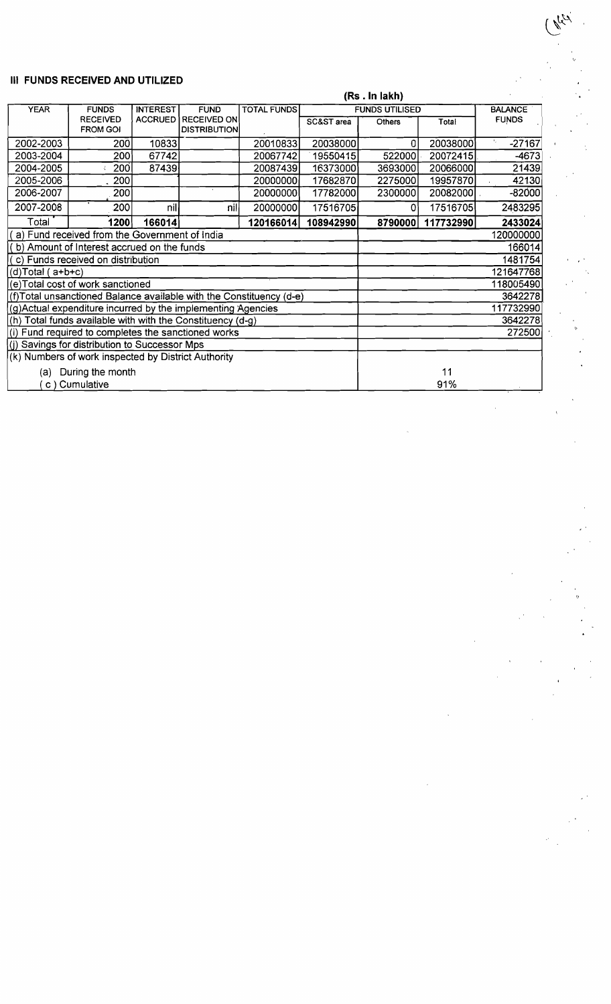## **III FUNDS RECEIVED AND UTILIZED**

|                                                              | , , , , , , , , , , , , , , , ,                                     |                 |                       |                    |            |                       |                |              |
|--------------------------------------------------------------|---------------------------------------------------------------------|-----------------|-----------------------|--------------------|------------|-----------------------|----------------|--------------|
| <b>YEAR</b>                                                  | <b>FUNDS</b>                                                        | <b>INTEREST</b> | <b>FUND</b>           | <b>TOTAL FUNDS</b> |            | <b>FUNDS UTILISED</b> | <b>BALANCE</b> |              |
|                                                              | <b>RECEIVED</b>                                                     |                 | ACCRUED   RECEIVED ON |                    | SC&ST area | <b>Others</b>         | Total          | <b>FUNDS</b> |
|                                                              | <b>FROM GOI</b>                                                     |                 | <b>DISTRIBUTION</b>   |                    |            |                       |                |              |
| 2002-2003                                                    | 200                                                                 | 10833           |                       | 20010833           | 20038000   | 0                     | 20038000       | $-27167$     |
| 2003-2004                                                    | 200                                                                 | 67742           |                       | 20067742           | 19550415   | 522000                | 20072415       | $-4673$      |
| 2004-2005                                                    | 200                                                                 | 87439           |                       | 20087439           | 16373000   | 3693000               | 20066000       | 21439        |
| 2005-2006                                                    | 200                                                                 |                 |                       | 20000000           | 17682870   | 2275000               | 19957870       | 42130        |
| 2006-2007                                                    | 200                                                                 |                 |                       | 20000000           | 17782000   | 2300000               | 20082000       | $-82000$     |
| 2007-2008                                                    | 200                                                                 | nil             | nill                  | 20000000           | 17516705   | 0                     | 17516705       | 2483295      |
| Total                                                        | 1200                                                                | 166014          |                       | 120166014          | 108942990  | 8790000               | 117732990      | 2433024      |
|                                                              | a) Fund received from the Government of India                       |                 |                       |                    |            | 120000000             |                |              |
| (b) Amount of Interest accrued on the funds                  |                                                                     |                 |                       |                    |            | 166014                |                |              |
| (c) Funds received on distribution                           |                                                                     |                 |                       |                    |            | 1481754               |                |              |
| $(d)$ Total (a+b+c)                                          |                                                                     |                 |                       |                    |            | 121647768             |                |              |
| (e) Total cost of work sanctioned                            |                                                                     |                 |                       |                    |            | 118005490             |                |              |
|                                                              | (f)Total unsanctioned Balance available with the Constituency (d-e) |                 |                       |                    |            |                       |                | 3642278      |
| (g) Actual expenditure incurred by the implementing Agencies |                                                                     |                 |                       |                    |            |                       |                | 117732990    |
| (h) Total funds available with with the Constituency (d-g)   |                                                                     |                 |                       |                    |            |                       |                | 3642278      |
| (i) Fund required to completes the sanctioned works          |                                                                     |                 |                       |                    |            |                       |                | 272500       |
| (i) Savings for distribution to Successor Mps                |                                                                     |                 |                       |                    |            |                       |                |              |
| (k) Numbers of work inspected by District Authority          |                                                                     |                 |                       |                    |            |                       |                |              |
| (a) During the month                                         |                                                                     |                 |                       |                    |            | 11                    |                |              |
| c) Cumulative                                                |                                                                     |                 |                       |                    |            |                       | 91%            |              |

## **(Rs . In lakh)**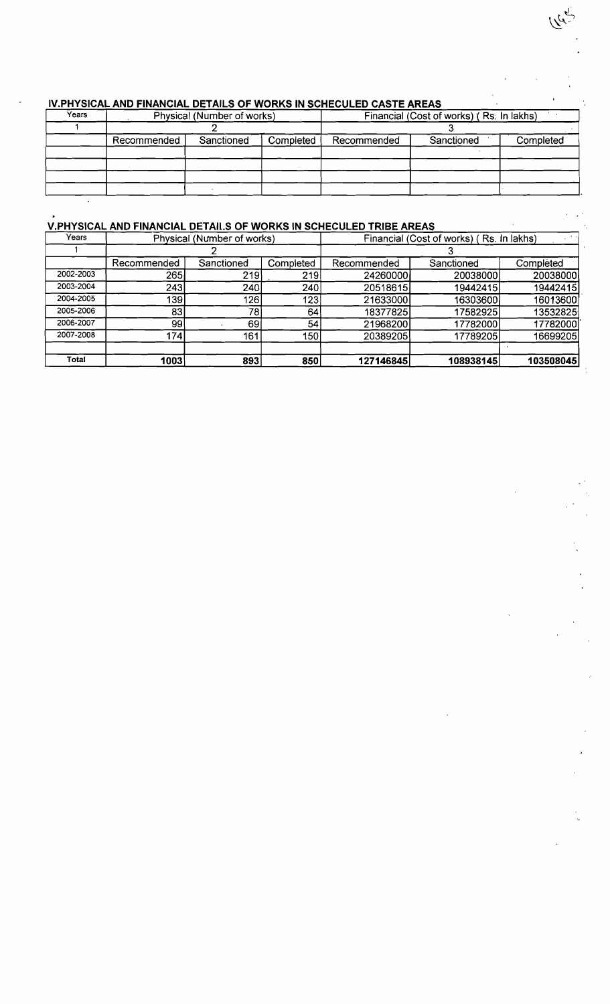| יזיי וויסוטאב אוזט ו וואמוסטאב טבו אונט טו זוסומוס ווז טטוובטטבבט טאט וב אונט |             |                            |           |                                          |            |           |  |  |  |
|-------------------------------------------------------------------------------|-------------|----------------------------|-----------|------------------------------------------|------------|-----------|--|--|--|
| Years                                                                         |             | Physical (Number of works) |           | Financial (Cost of works) (Rs. In lakhs) |            |           |  |  |  |
|                                                                               |             |                            |           |                                          |            |           |  |  |  |
|                                                                               | Recommended | Sanctioned                 | Completed | Recommended                              | Sanctioned | Completed |  |  |  |
|                                                                               |             |                            |           |                                          |            |           |  |  |  |
|                                                                               |             |                            |           |                                          |            |           |  |  |  |
|                                                                               |             |                            |           |                                          |            |           |  |  |  |
|                                                                               |             |                            |           |                                          |            |           |  |  |  |

## **IV PHYSICAL AND FINANCIAL DETAILS OF WORKS IN SCHECULED CASTE AREAS**

## **V.PHYSICAL AND FINANCIAL DETAil** . **S OF WORKS IN SCHECULED TRIBE AREAS**

 $\overline{a}$ 

| Years     |             | Physical (Number of works) |           | Financial (Cost of works) (Rs. In lakhs) |            |           |  |
|-----------|-------------|----------------------------|-----------|------------------------------------------|------------|-----------|--|
|           |             |                            |           |                                          |            |           |  |
|           | Recommended | Sanctioned                 | Completed | Recommended                              | Sanctioned | Completed |  |
| 2002-2003 | 265         | 219                        | 219       | 24260000                                 | 20038000   | 20038000  |  |
| 2003-2004 | 243         | 240                        | 240       | 20518615                                 | 19442415   | 19442415  |  |
| 2004-2005 | 139         | 126                        | 123       | 21633000                                 | 16303600   | 16013600  |  |
| 2005-2006 | 83          | 78                         | 64        | 18377825                                 | 17582925   | 13532825  |  |
| 2006-2007 | 99          | 69                         | 54        | 21968200                                 | 17782000   | 17782000  |  |
| 2007-2008 | 174         | 161                        | 150       | 20389205                                 | 17789205   | 16699205  |  |
|           |             |                            |           |                                          |            |           |  |
| Total     | 1003        | 893                        | 850       | 127146845                                | 108938145  | 103508045 |  |